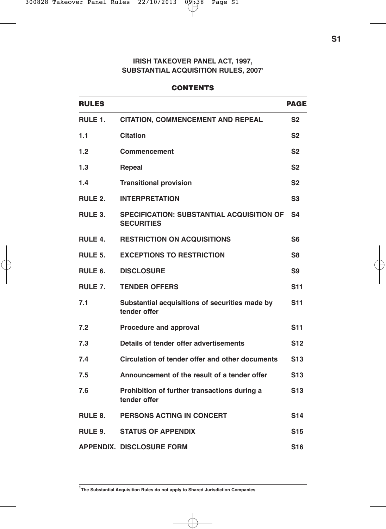# **IRISH TAKEOVER PANEL ACT, 1997, SUBSTANTIAL ACQUISITION RULES, 2007<sup>1</sup>**

#### **CONTENTS**

| <b>RULES</b>        |                                                                       | <b>PAGE</b>     |
|---------------------|-----------------------------------------------------------------------|-----------------|
| RULE 1.             | <b>CITATION, COMMENCEMENT AND REPEAL</b>                              | S <sub>2</sub>  |
| 1.1                 | <b>Citation</b>                                                       | S <sub>2</sub>  |
| 1.2                 | Commencement                                                          | S <sub>2</sub>  |
| 1.3                 | Repeal                                                                | S <sub>2</sub>  |
| 1.4                 | <b>Transitional provision</b>                                         | S <sub>2</sub>  |
| RULE 2.             | <b>INTERPRETATION</b>                                                 | S <sub>3</sub>  |
| RULE 3.             | <b>SPECIFICATION: SUBSTANTIAL ACQUISITION OF</b><br><b>SECURITIES</b> | S <sub>4</sub>  |
| <b>RULE 4.</b>      | <b>RESTRICTION ON ACQUISITIONS</b>                                    | S6              |
| RULE 5.             | <b>EXCEPTIONS TO RESTRICTION</b>                                      | S8              |
| RULE <sub>6</sub> . | <b>DISCLOSURE</b>                                                     | S9              |
| RULE 7.             | <b>TENDER OFFERS</b>                                                  | <b>S11</b>      |
| 7.1                 | Substantial acquisitions of securities made by<br>tender offer        | <b>S11</b>      |
| 7.2                 | Procedure and approval                                                |                 |
| 7.3                 | Details of tender offer advertisements                                | S12             |
| 7.4                 | Circulation of tender offer and other documents                       | S <sub>13</sub> |
| 7.5                 | Announcement of the result of a tender offer                          | S <sub>13</sub> |
| 7.6                 | Prohibition of further transactions during a<br>tender offer          | <b>S13</b>      |
| <b>RULE 8.</b>      | PERSONS ACTING IN CONCERT                                             | S14             |
| RULE 9.             | <b>STATUS OF APPENDIX</b>                                             | <b>S15</b>      |
|                     | <b>APPENDIX. DISCLOSURE FORM</b>                                      | S <sub>16</sub> |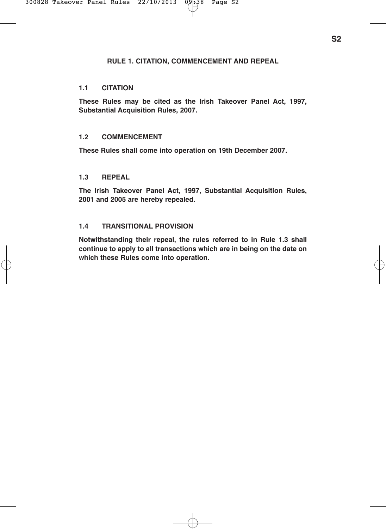### **RULE 1. CITATION, COMMENCEMENT AND REPEAL**

### **1.1 CITATION**

**These Rules may be cited as the Irish Takeover Panel Act, 1997, Substantial Acquisition Rules, 2007.**

### **1.2 COMMENCEMENT**

**These Rules shall come into operation on 19th December 2007.**

### **1.3 REPEAL**

**The Irish Takeover Panel Act, 1997, Substantial Acquisition Rules, 2001 and 2005 are hereby repealed.**

### **1.4 TRANSITIONAL PROVISION**

**Notwithstanding their repeal, the rules referred to in Rule 1.3 shall continue to apply to all transactions which are in being on the date on which these Rules come into operation.**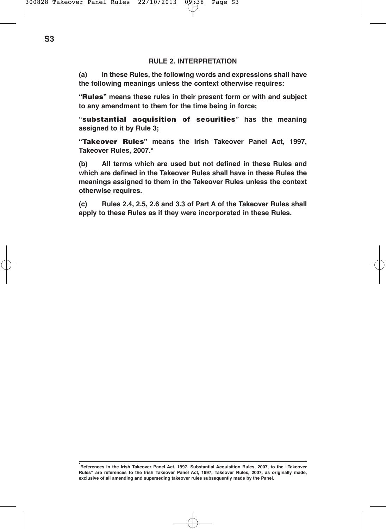#### **RULE 2. INTERPRETATION**

**(a) In these Rules, the following words and expressions shall have the following meanings unless the context otherwise requires:**

**"Rules" means these rules in their present form or with and subject to any amendment to them for the time being in force;**

**"substantial acquisition of securities" has the meaning assigned to it by Rule 3;**

**"Takeover Rules" means the Irish Takeover Panel Act, 1997, Takeover Rules, 2007.\***

**(b) All terms which are used but not defined in these Rules and which are defined in the Takeover Rules shall have in these Rules the meanings assigned to them in the Takeover Rules unless the context otherwise requires.**

**(c) Rules 2.4, 2.5, 2.6 and 3.3 of Part A of the Takeover Rules shall apply to these Rules as if they were incorporated in these Rules.**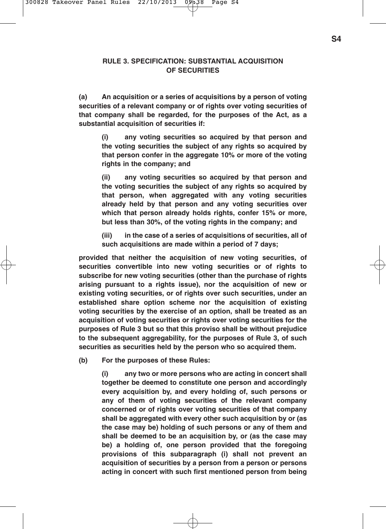### **RULE 3. SPECIFICATION: SUBSTANTIAL ACQUISITION OF SECURITIES**

**(a) An acquisition or a series of acquisitions by a person of voting securities of a relevant company or of rights over voting securities of that company shall be regarded, for the purposes of the Act, as a substantial acquisition of securities if:**

**(i) any voting securities so acquired by that person and the voting securities the subject of any rights so acquired by that person confer in the aggregate 10% or more of the voting rights in the company; and**

**(ii) any voting securities so acquired by that person and the voting securities the subject of any rights so acquired by that person, when aggregated with any voting securities already held by that person and any voting securities over which that person already holds rights, confer 15% or more, but less than 30%, of the voting rights in the company; and**

**(iii) in the case of a series of acquisitions of securities, all of such acquisitions are made within a period of 7 days;**

**provided that neither the acquisition of new voting securities, of securities convertible into new voting securities or of rights to subscribe for new voting securities (other than the purchase of rights arising pursuant to a rights issue), nor the acquisition of new or existing voting securities, or of rights over such securities, under an established share option scheme nor the acquisition of existing voting securities by the exercise of an option, shall be treated as an acquisition of voting securities or rights over voting securities for the purposes of Rule 3 but so that this proviso shall be without prejudice to the subsequent aggregability, for the purposes of Rule 3, of such securities as securities held by the person who so acquired them.**

**(b) For the purposes of these Rules:**

**(i) any two or more persons who are acting in concert shall together be deemed to constitute one person and accordingly every acquisition by, and every holding of, such persons or any of them of voting securities of the relevant company concerned or of rights over voting securities of that company shall be aggregated with every other such acquisition by or (as the case may be) holding of such persons or any of them and shall be deemed to be an acquisition by, or (as the case may be) a holding of, one person provided that the foregoing provisions of this subparagraph (i) shall not prevent an acquisition of securities by a person from a person or persons acting in concert with such first mentioned person from being**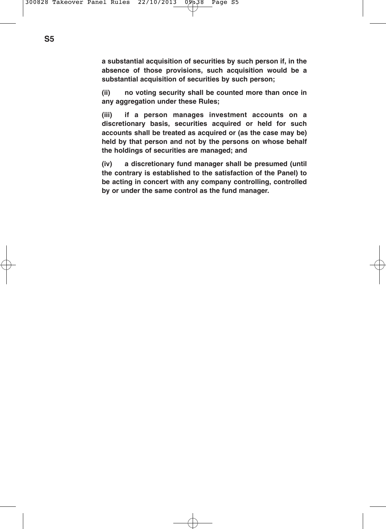**a substantial acquisition of securities by such person if, in the absence of those provisions, such acquisition would be a substantial acquisition of securities by such person;**

**(ii) no voting security shall be counted more than once in any aggregation under these Rules;**

**(iii) if a person manages investment accounts on a discretionary basis, securities acquired or held for such accounts shall be treated as acquired or (as the case may be) held by that person and not by the persons on whose behalf the holdings of securities are managed; and**

**(iv) a discretionary fund manager shall be presumed (until the contrary is established to the satisfaction of the Panel) to be acting in concert with any company controlling, controlled by or under the same control as the fund manager.**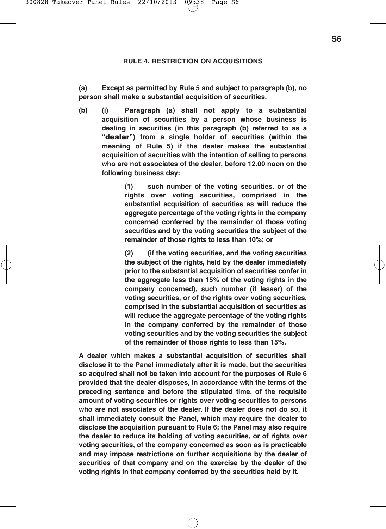#### **RULE 4. RESTRICTION ON ACQUISITIONS**

**(a) Except as permitted by Rule 5 and subject to paragraph (b), no person shall make a substantial acquisition of securities.**

**(b) (i) Paragraph (a) shall not apply to a substantial acquisition of securities by a person whose business is dealing in securities (in this paragraph (b) referred to as a "dealer") from a single holder of securities (within the meaning of Rule 5) if the dealer makes the substantial acquisition of securities with the intention of selling to persons who are not associates of the dealer, before 12.00 noon on the following business day:**

> **(1) such number of the voting securities, or of the rights over voting securities, comprised in the substantial acquisition of securities as will reduce the aggregate percentage of the voting rights in the company concerned conferred by the remainder of those voting securities and by the voting securities the subject of the remainder of those rights to less than 10%; or**

> **(2) (if the voting securities, and the voting securities the subject of the rights, held by the dealer immediately prior to the substantial acquisition of securities confer in the aggregate less than 15% of the voting rights in the company concerned), such number (if lesser) of the voting securities, or of the rights over voting securities, comprised in the substantial acquisition of securities as will reduce the aggregate percentage of the voting rights in the company conferred by the remainder of those voting securities and by the voting securities the subject of the remainder of those rights to less than 15%.**

**A dealer which makes a substantial acquisition of securities shall disclose it to the Panel immediately after it is made, but the securities so acquired shall not be taken into account for the purposes of Rule 6 provided that the dealer disposes, in accordance with the terms of the preceding sentence and before the stipulated time, of the requisite amount of voting securities or rights over voting securities to persons who are not associates of the dealer. If the dealer does not do so, it shall immediately consult the Panel, which may require the dealer to disclose the acquisition pursuant to Rule 6; the Panel may also require the dealer to reduce its holding of voting securities, or of rights over voting securities, of the company concerned as soon as is practicable and may impose restrictions on further acquisitions by the dealer of securities of that company and on the exercise by the dealer of the voting rights in that company conferred by the securities held by it.**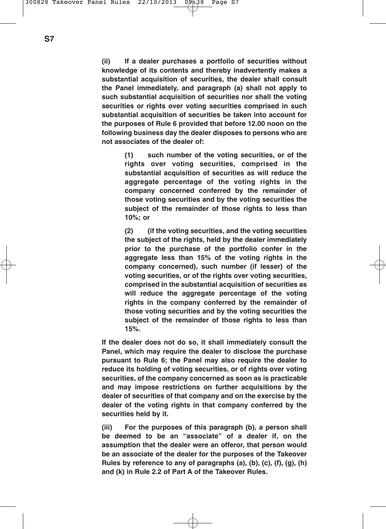**(ii) If a dealer purchases a portfolio of securities without knowledge of its contents and thereby inadvertently makes a substantial acquisition of securities, the dealer shall consult the Panel immediately, and paragraph (a) shall not apply to such substantial acquisition of securities nor shall the voting securities or rights over voting securities comprised in such substantial acquisition of securities be taken into account for the purposes of Rule 6 provided that before 12.00 noon on the following business day the dealer disposes to persons who are not associates of the dealer of:**

> **(1) such number of the voting securities, or of the rights over voting securities, comprised in the substantial acquisition of securities as will reduce the aggregate percentage of the voting rights in the company concerned conferred by the remainder of those voting securities and by the voting securities the subject of the remainder of those rights to less than 10%; or**

> **(2) (if the voting securities, and the voting securities the subject of the rights, held by the dealer immediately prior to the purchase of the portfolio confer in the aggregate less than 15% of the voting rights in the company concerned), such number (if lesser) of the voting securities, or of the rights over voting securities, comprised in the substantial acquisition of securities as will reduce the aggregate percentage of the voting rights in the company conferred by the remainder of those voting securities and by the voting securities the subject of the remainder of those rights to less than 15%.**

**If the dealer does not do so, it shall immediately consult the Panel, which may require the dealer to disclose the purchase pursuant to Rule 6; the Panel may also require the dealer to reduce its holding of voting securities, or of rights over voting securities, of the company concerned as soon as is practicable and may impose restrictions on further acquisitions by the dealer of securities of that company and on the exercise by the dealer of the voting rights in that company conferred by the securities held by it.**

**(iii) For the purposes of this paragraph (b), a person shall be deemed to be an "associate" of a dealer if, on the assumption that the dealer were an offeror, that person would be an associate of the dealer for the purposes of the Takeover Rules by reference to any of paragraphs (a), (b), (c), (f), (g), (h) and (k) in Rule 2.2 of Part A of the Takeover Rules.**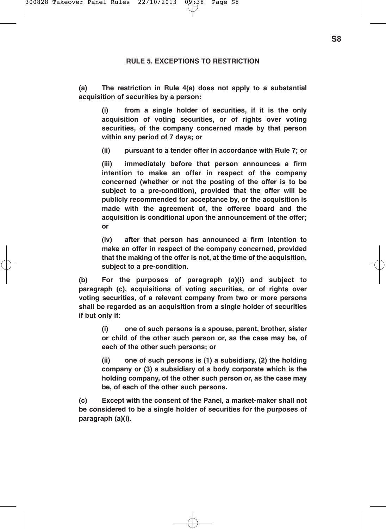### **RULE 5. EXCEPTIONS TO RESTRICTION**

**(a) The restriction in Rule 4(a) does not apply to a substantial acquisition of securities by a person:**

**(i) from a single holder of securities, if it is the only acquisition of voting securities, or of rights over voting securities, of the company concerned made by that person within any period of 7 days; or**

**(ii) pursuant to a tender offer in accordance with Rule 7; or**

**(iii) immediately before that person announces a firm intention to make an offer in respect of the company concerned (whether or not the posting of the offer is to be subject to a pre-condition), provided that the offer will be publicly recommended for acceptance by, or the acquisition is made with the agreement of, the offeree board and the acquisition is conditional upon the announcement of the offer; or**

**(iv) after that person has announced a firm intention to make an offer in respect of the company concerned, provided that the making of the offer is not, at the time of the acquisition, subject to a pre-condition.**

**(b) For the purposes of paragraph (a)(i) and subject to paragraph (c), acquisitions of voting securities, or of rights over voting securities, of a relevant company from two or more persons shall be regarded as an acquisition from a single holder of securities if but only if:**

**(i) one of such persons is a spouse, parent, brother, sister or child of the other such person or, as the case may be, of each of the other such persons; or**

**(ii) one of such persons is (1) a subsidiary, (2) the holding company or (3) a subsidiary of a body corporate which is the holding company, of the other such person or, as the case may be, of each of the other such persons.**

**(c) Except with the consent of the Panel, a market-maker shall not be considered to be a single holder of securities for the purposes of paragraph (a)(i).**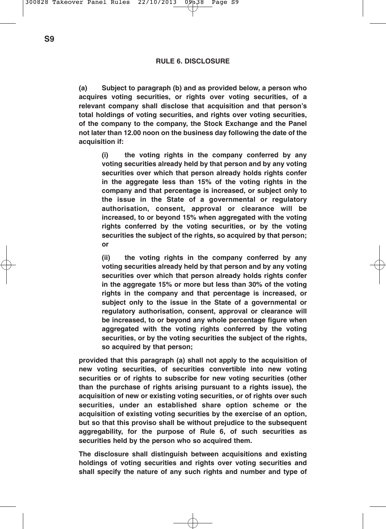**(a) Subject to paragraph (b) and as provided below, a person who acquires voting securities, or rights over voting securities, of a relevant company shall disclose that acquisition and that person's total holdings of voting securities, and rights over voting securities, of the company to the company, the Stock Exchange and the Panel not later than 12.00 noon on the business day following the date of the acquisition if:**

**(i) the voting rights in the company conferred by any voting securities already held by that person and by any voting securities over which that person already holds rights confer in the aggregate less than 15% of the voting rights in the company and that percentage is increased, or subject only to the issue in the State of a governmental or regulatory authorisation, consent, approval or clearance will be increased, to or beyond 15% when aggregated with the voting rights conferred by the voting securities, or by the voting securities the subject of the rights, so acquired by that person; or**

**(ii) the voting rights in the company conferred by any voting securities already held by that person and by any voting securities over which that person already holds rights confer in the aggregate 15% or more but less than 30% of the voting rights in the company and that percentage is increased, or subject only to the issue in the State of a governmental or regulatory authorisation, consent, approval or clearance will be increased, to or beyond any whole percentage figure when aggregated with the voting rights conferred by the voting securities, or by the voting securities the subject of the rights, so acquired by that person;**

**provided that this paragraph (a) shall not apply to the acquisition of new voting securities, of securities convertible into new voting securities or of rights to subscribe for new voting securities (other than the purchase of rights arising pursuant to a rights issue), the acquisition of new or existing voting securities, or of rights over such securities, under an established share option scheme or the acquisition of existing voting securities by the exercise of an option, but so that this proviso shall be without prejudice to the subsequent aggregability, for the purpose of Rule 6, of such securities as securities held by the person who so acquired them.**

**The disclosure shall distinguish between acquisitions and existing holdings of voting securities and rights over voting securities and shall specify the nature of any such rights and number and type of**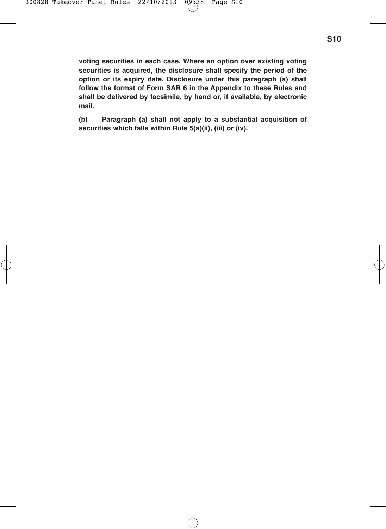**voting securities in each case. Where an option over existing voting securities is acquired, the disclosure shall specify the period of the option or its expiry date. Disclosure under this paragraph (a) shall follow the format of Form SAR 6 in the Appendix to these Rules and shall be delivered by facsimile, by hand or, if available, by electronic mail.**

**(b) Paragraph (a) shall not apply to a substantial acquisition of securities which falls within Rule 5(a)(ii), (iii) or (iv).**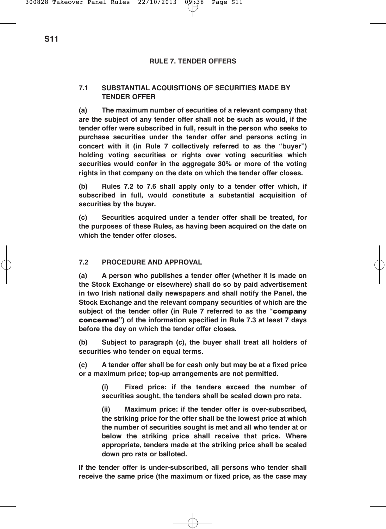### **RULE 7. TENDER OFFERS**

# **7.1 SUBSTANTIAL ACQUISITIONS OF SECURITIES MADE BY TENDER OFFER**

**(a) The maximum number of securities of a relevant company that are the subject of any tender offer shall not be such as would, if the tender offer were subscribed in full, result in the person who seeks to purchase securities under the tender offer and persons acting in concert with it (in Rule 7 collectively referred to as the "buyer") holding voting securities or rights over voting securities which securities would confer in the aggregate 30% or more of the voting rights in that company on the date on which the tender offer closes.**

**(b) Rules 7.2 to 7.6 shall apply only to a tender offer which, if subscribed in full, would constitute a substantial acquisition of securities by the buyer.**

**(c) Securities acquired under a tender offer shall be treated, for the purposes of these Rules, as having been acquired on the date on which the tender offer closes.**

# **7.2 PROCEDURE AND APPROVAL**

**(a) A person who publishes a tender offer (whether it is made on the Stock Exchange or elsewhere) shall do so by paid advertisement in two Irish national daily newspapers and shall notify the Panel, the Stock Exchange and the relevant company securities of which are the subject of the tender offer (in Rule 7 referred to as the "company concerned") of the information specified in Rule 7.3 at least 7 days before the day on which the tender offer closes.**

**(b) Subject to paragraph (c), the buyer shall treat all holders of securities who tender on equal terms.**

**(c) A tender offer shall be for cash only but may be at a fixed price or a maximum price; top-up arrangements are not permitted.**

**(i) Fixed price: if the tenders exceed the number of securities sought, the tenders shall be scaled down pro rata.**

**(ii) Maximum price: if the tender offer is over-subscribed, the striking price for the offer shall be the lowest price at which the number of securities sought is met and all who tender at or below the striking price shall receive that price. Where appropriate, tenders made at the striking price shall be scaled down pro rata or balloted.**

**If the tender offer is under-subscribed, all persons who tender shall receive the same price (the maximum or fixed price, as the case may**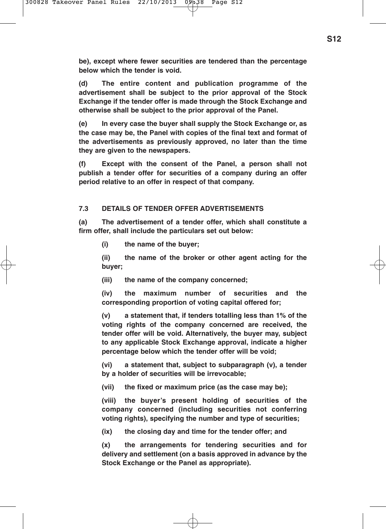**be), except where fewer securities are tendered than the percentage below which the tender is void.**

**(d) The entire content and publication programme of the advertisement shall be subject to the prior approval of the Stock Exchange if the tender offer is made through the Stock Exchange and otherwise shall be subject to the prior approval of the Panel.**

**(e) In every case the buyer shall supply the Stock Exchange or, as the case may be, the Panel with copies of the final text and format of the advertisements as previously approved, no later than the time they are given to the newspapers.**

**(f) Except with the consent of the Panel, a person shall not publish a tender offer for securities of a company during an offer period relative to an offer in respect of that company.**

# **7.3 DETAILS OF TENDER OFFER ADVERTISEMENTS**

**(a) The advertisement of a tender offer, which shall constitute a firm offer, shall include the particulars set out below:**

**(i) the name of the buyer;**

**(ii) the name of the broker or other agent acting for the buyer;**

**(iii) the name of the company concerned;**

**(iv) the maximum number of securities and the corresponding proportion of voting capital offered for;**

**(v) a statement that, if tenders totalling less than 1% of the voting rights of the company concerned are received, the tender offer will be void. Alternatively, the buyer may, subject to any applicable Stock Exchange approval, indicate a higher percentage below which the tender offer will be void;**

**(vi) a statement that, subject to subparagraph (v), a tender by a holder of securities will be irrevocable;**

**(vii) the fixed or maximum price (as the case may be);**

**(viii) the buyer's present holding of securities of the company concerned (including securities not conferring voting rights), specifying the number and type of securities;**

**(ix) the closing day and time for the tender offer; and**

**(x) the arrangements for tendering securities and for delivery and settlement (on a basis approved in advance by the Stock Exchange or the Panel as appropriate).**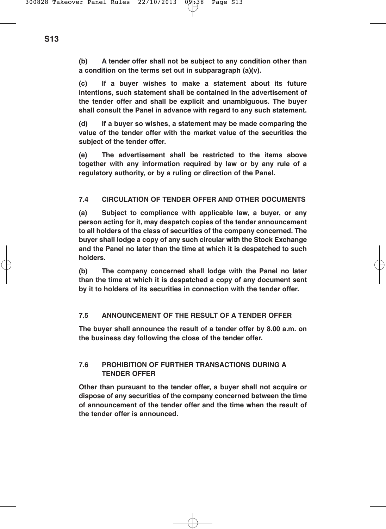**(b) A tender offer shall not be subject to any condition other than a condition on the terms set out in subparagraph (a)(v).**

**(c) If a buyer wishes to make a statement about its future intentions, such statement shall be contained in the advertisement of the tender offer and shall be explicit and unambiguous. The buyer shall consult the Panel in advance with regard to any such statement.**

**(d) If a buyer so wishes, a statement may be made comparing the value of the tender offer with the market value of the securities the subject of the tender offer.**

**(e) The advertisement shall be restricted to the items above together with any information required by law or by any rule of a regulatory authority, or by a ruling or direction of the Panel.**

# **7.4 CIRCULATION OF TENDER OFFER AND OTHER DOCUMENTS**

**(a) Subject to compliance with applicable law, a buyer, or any person acting for it, may despatch copies of the tender announcement to all holders of the class of securities of the company concerned. The buyer shall lodge a copy of any such circular with the Stock Exchange and the Panel no later than the time at which it is despatched to such holders.**

**(b) The company concerned shall lodge with the Panel no later than the time at which it is despatched a copy of any document sent by it to holders of its securities in connection with the tender offer.**

# **7.5 ANNOUNCEMENT OF THE RESULT OF A TENDER OFFER**

**The buyer shall announce the result of a tender offer by 8.00 a.m. on the business day following the close of the tender offer.**

# **7.6 PROHIBITION OF FURTHER TRANSACTIONS DURING A TENDER OFFER**

**Other than pursuant to the tender offer, a buyer shall not acquire or dispose of any securities of the company concerned between the time of announcement of the tender offer and the time when the result of the tender offer is announced.**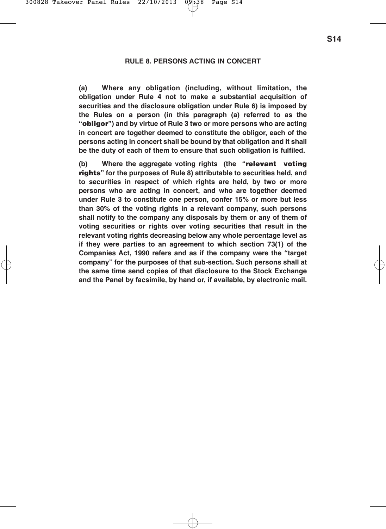#### **RULE 8. PERSONS ACTING IN CONCERT**

**(a) Where any obligation (including, without limitation, the obligation under Rule 4 not to make a substantial acquisition of securities and the disclosure obligation under Rule 6) is imposed by the Rules on a person (in this paragraph (a) referred to as the "obligor") and by virtue of Rule 3 two or more persons who are acting in concert are together deemed to constitute the obligor, each of the persons acting in concert shall be bound by that obligation and it shall be the duty of each of them to ensure that such obligation is fulfiled.**

**(b) Where the aggregate voting rights (the "relevant voting rights" for the purposes of Rule 8) attributable to securities held, and to securities in respect of which rights are held, by two or more persons who are acting in concert, and who are together deemed under Rule 3 to constitute one person, confer 15% or more but less than 30% of the voting rights in a relevant company, such persons shall notify to the company any disposals by them or any of them of voting securities or rights over voting securities that result in the relevant voting rights decreasing below any whole percentage level as if they were parties to an agreement to which section 73(1) of the Companies Act, 1990 refers and as if the company were the "target company" for the purposes of that sub-section. Such persons shall at the same time send copies of that disclosure to the Stock Exchange and the Panel by facsimile, by hand or, if available, by electronic mail.**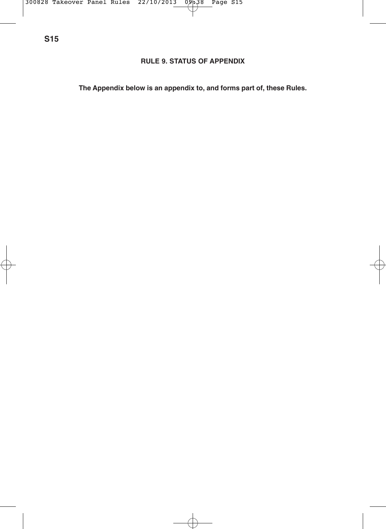# **RULE 9. STATUS OF APPENDIX**

**The Appendix below is an appendix to, and forms part of, these Rules.**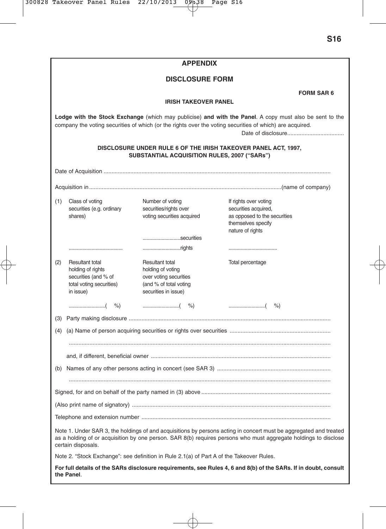| <b>APPENDIX</b>                                                                                                                                                                                                                                            |                                                                                                       |                                                                                                                  |                                                                                                                         |  |  |  |
|------------------------------------------------------------------------------------------------------------------------------------------------------------------------------------------------------------------------------------------------------------|-------------------------------------------------------------------------------------------------------|------------------------------------------------------------------------------------------------------------------|-------------------------------------------------------------------------------------------------------------------------|--|--|--|
| <b>DISCLOSURE FORM</b>                                                                                                                                                                                                                                     |                                                                                                       |                                                                                                                  |                                                                                                                         |  |  |  |
|                                                                                                                                                                                                                                                            |                                                                                                       |                                                                                                                  | <b>FORM SAR 6</b>                                                                                                       |  |  |  |
|                                                                                                                                                                                                                                                            | <b>IRISH TAKEOVER PANEL</b>                                                                           |                                                                                                                  |                                                                                                                         |  |  |  |
| Lodge with the Stock Exchange (which may publicise) and with the Panel. A copy must also be sent to the<br>company the voting securities of which (or the rights over the voting securities of which) are acquired.                                        |                                                                                                       |                                                                                                                  |                                                                                                                         |  |  |  |
| DISCLOSURE UNDER RULE 6 OF THE IRISH TAKEOVER PANEL ACT, 1997,<br>SUBSTANTIAL ACQUISITION RULES, 2007 ("SARs")                                                                                                                                             |                                                                                                       |                                                                                                                  |                                                                                                                         |  |  |  |
|                                                                                                                                                                                                                                                            |                                                                                                       |                                                                                                                  |                                                                                                                         |  |  |  |
|                                                                                                                                                                                                                                                            |                                                                                                       |                                                                                                                  |                                                                                                                         |  |  |  |
| (1)                                                                                                                                                                                                                                                        | Class of voting<br>securities (e.g. ordinary<br>shares)                                               | Number of voting<br>securities/rights over<br>voting securities acquired                                         | If rights over voting<br>securities acquired,<br>as opposed to the securities<br>themselves specify<br>nature of rights |  |  |  |
|                                                                                                                                                                                                                                                            |                                                                                                       | securities<br>rights                                                                                             |                                                                                                                         |  |  |  |
| (2)                                                                                                                                                                                                                                                        | Resultant total<br>holding of rights<br>securities (and % of<br>total voting securities)<br>in issue) | Resultant total<br>holding of voting<br>over voting securities<br>(and % of total voting<br>securities in issue) | Total percentage                                                                                                        |  |  |  |
|                                                                                                                                                                                                                                                            | $\ldots$ ( $\%$ )                                                                                     |                                                                                                                  |                                                                                                                         |  |  |  |
|                                                                                                                                                                                                                                                            |                                                                                                       |                                                                                                                  |                                                                                                                         |  |  |  |
|                                                                                                                                                                                                                                                            |                                                                                                       |                                                                                                                  |                                                                                                                         |  |  |  |
|                                                                                                                                                                                                                                                            |                                                                                                       |                                                                                                                  |                                                                                                                         |  |  |  |
|                                                                                                                                                                                                                                                            |                                                                                                       |                                                                                                                  |                                                                                                                         |  |  |  |
|                                                                                                                                                                                                                                                            |                                                                                                       |                                                                                                                  |                                                                                                                         |  |  |  |
|                                                                                                                                                                                                                                                            |                                                                                                       |                                                                                                                  |                                                                                                                         |  |  |  |
|                                                                                                                                                                                                                                                            |                                                                                                       |                                                                                                                  |                                                                                                                         |  |  |  |
|                                                                                                                                                                                                                                                            |                                                                                                       |                                                                                                                  |                                                                                                                         |  |  |  |
| Telephone and extension number                                                                                                                                                                                                                             |                                                                                                       |                                                                                                                  |                                                                                                                         |  |  |  |
| Note 1. Under SAR 3, the holdings of and acquisitions by persons acting in concert must be aggregated and treated<br>as a holding of or acquisition by one person. SAR 8(b) requires persons who must aggregate holdings to disclose<br>certain disposals. |                                                                                                       |                                                                                                                  |                                                                                                                         |  |  |  |
| Note 2. "Stock Exchange": see definition in Rule 2.1(a) of Part A of the Takeover Rules.                                                                                                                                                                   |                                                                                                       |                                                                                                                  |                                                                                                                         |  |  |  |
| For full details of the SARs disclosure requirements, see Rules 4, 6 and 8(b) of the SARs. If in doubt, consult<br>the Panel.                                                                                                                              |                                                                                                       |                                                                                                                  |                                                                                                                         |  |  |  |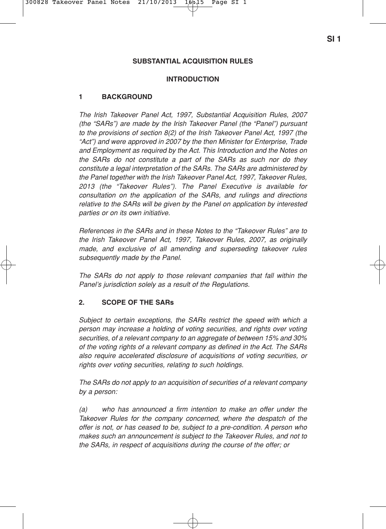# **INTRODUCTION**

# **1 BACKGROUND**

The Irish Takeover Panel Act, 1997, Substantial Acquisition Rules, 2007 (the "SARs") are made by the Irish Takeover Panel (the "Panel") pursuant to the provisions of section 8(2) of the Irish Takeover Panel Act, 1997 (the "Act") and were approved in 2007 by the then Minister for Enterprise, Trade and Employment as required by the Act. This Introduction and the Notes on the SARs do not constitute a part of the SARs as such nor do they constitute a legal interpretation of the SARs. The SARs are administered by the Panel together with the Irish Takeover Panel Act, 1997, Takeover Rules, 2013 (the "Takeover Rules"). The Panel Executive is available for consultation on the application of the SARs, and rulings and directions relative to the SARs will be given by the Panel on application by interested parties or on its own initiative.

References in the SARs and in these Notes to the "Takeover Rules" are to the Irish Takeover Panel Act, 1997, Takeover Rules, 2007, as originally made, and exclusive of all amending and superseding takeover rules subsequently made by the Panel.

The SARs do not apply to those relevant companies that fall within the Panel's jurisdiction solely as a result of the Regulations.

# **2. SCOPE OF THE SARs**

Subject to certain exceptions, the SARs restrict the speed with which a person may increase a holding of voting securities, and rights over voting securities, of a relevant company to an aggregate of between 15% and 30% of the voting rights of a relevant company as defined in the Act. The SARs also require accelerated disclosure of acquisitions of voting securities, or rights over voting securities, relating to such holdings.

The SARs do not apply to an acquisition of securities of a relevant company by a person:

(a) who has announced a firm intention to make an offer under the Takeover Rules for the company concerned, where the despatch of the offer is not, or has ceased to be, subject to a pre-condition. A person who makes such an announcement is subject to the Takeover Rules, and not to the SARs, in respect of acquisitions during the course of the offer; or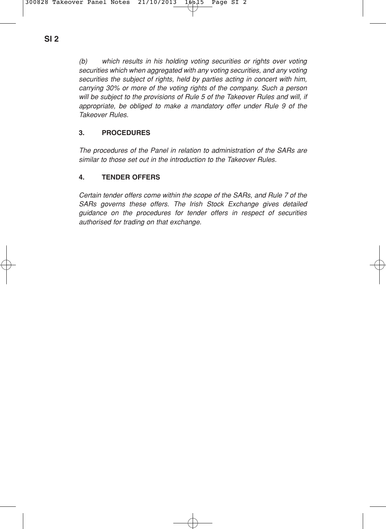(b) which results in his holding voting securities or rights over voting securities which when aggregated with any voting securities, and any voting securities the subject of rights, held by parties acting in concert with him, carrying 30% or more of the voting rights of the company. Such a person will be subject to the provisions of Rule 5 of the Takeover Rules and will, if appropriate, be obliged to make a mandatory offer under Rule 9 of the Takeover Rules.

# **3. PROCEDURES**

The procedures of the Panel in relation to administration of the SARs are similar to those set out in the introduction to the Takeover Rules.

# **4. TENDER OFFERS**

Certain tender offers come within the scope of the SARs, and Rule 7 of the SARs governs these offers. The Irish Stock Exchange gives detailed guidance on the procedures for tender offers in respect of securities authorised for trading on that exchange.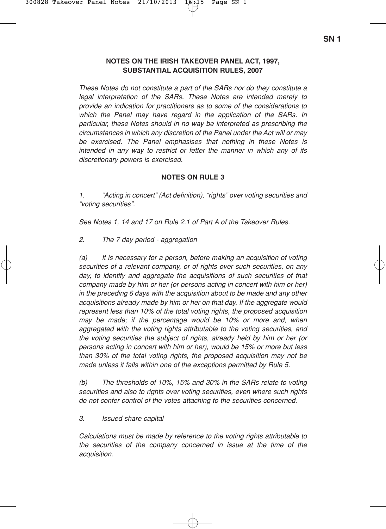### **NOTES ON THE IRISH TAKEOVER PANEL ACT, 1997, SUBSTANTIAL ACQUISITION RULES, 2007**

These Notes do not constitute a part of the SARs nor do they constitute a legal interpretation of the SARs. These Notes are intended merely to provide an indication for practitioners as to some of the considerations to which the Panel may have regard in the application of the SARs. In particular, these Notes should in no way be interpreted as prescribing the circumstances in which any discretion of the Panel under the Act will or may be exercised. The Panel emphasises that nothing in these Notes is intended in any way to restrict or fetter the manner in which any of its discretionary powers is exercised.

# **NOTES ON RULE 3**

1. "Acting in concert" (Act definition), "rights" over voting securities and "voting securities".

See Notes 1, 14 and 17 on Rule 2.1 of Part A of the Takeover Rules.

2. The 7 day period - aggregation

(a) It is necessary for a person, before making an acquisition of voting securities of a relevant company, or of rights over such securities, on any day, to identify and aggregate the acquisitions of such securities of that company made by him or her (or persons acting in concert with him or her) in the preceding 6 days with the acquisition about to be made and any other acquisitions already made by him or her on that day. If the aggregate would represent less than 10% of the total voting rights, the proposed acquisition may be made; if the percentage would be 10% or more and, when aggregated with the voting rights attributable to the voting securities, and the voting securities the subject of rights, already held by him or her (or persons acting in concert with him or her), would be 15% or more but less than 30% of the total voting rights, the proposed acquisition may not be made unless it falls within one of the exceptions permitted by Rule 5.

(b) The thresholds of 10%, 15% and 30% in the SARs relate to voting securities and also to rights over voting securities, even where such rights do not confer control of the votes attaching to the securities concerned.

### 3. Issued share capital

Calculations must be made by reference to the voting rights attributable to the securities of the company concerned in issue at the time of the acquisition.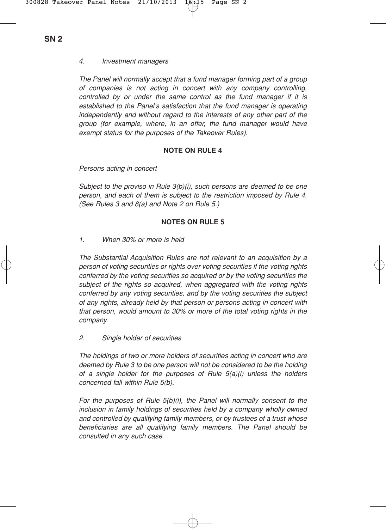### 4. Investment managers

The Panel will normally accept that a fund manager forming part of a group of companies is not acting in concert with any company controlling, controlled by or under the same control as the fund manager if it is established to the Panel's satisfaction that the fund manager is operating independently and without regard to the interests of any other part of the group (for example, where, in an offer, the fund manager would have exempt status for the purposes of the Takeover Rules).

# **NOTE ON RULE 4**

Persons acting in concert

Subject to the proviso in Rule 3(b)(i), such persons are deemed to be one person, and each of them is subject to the restriction imposed by Rule 4. (See Rules 3 and 8(a) and Note 2 on Rule 5.)

### **NOTES ON RULE 5**

1. When 30% or more is held

The Substantial Acquisition Rules are not relevant to an acquisition by a person of voting securities or rights over voting securities if the voting rights conferred by the voting securities so acquired or by the voting securities the subject of the rights so acquired, when aggregated with the voting rights conferred by any voting securities, and by the voting securities the subject of any rights, already held by that person or persons acting in concert with that person, would amount to 30% or more of the total voting rights in the company.

2. Single holder of securities

The holdings of two or more holders of securities acting in concert who are deemed by Rule 3 to be one person will not be considered to be the holding of a single holder for the purposes of Rule 5(a)(i) unless the holders concerned fall within Rule 5(b).

For the purposes of Rule 5(b)(i), the Panel will normally consent to the inclusion in family holdings of securities held by a company wholly owned and controlled by qualifying family members, or by trustees of a trust whose beneficiaries are all qualifying family members. The Panel should be consulted in any such case.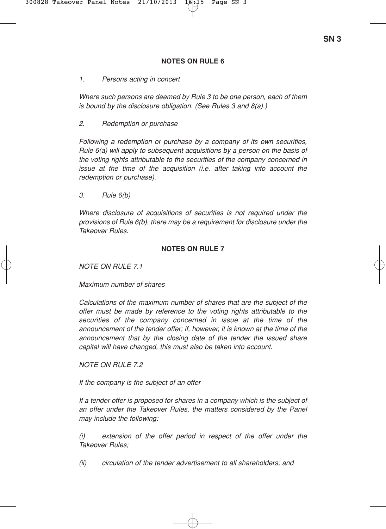### **NOTES ON RULE 6**

#### 1. Persons acting in concert

Where such persons are deemed by Rule 3 to be one person, each of them is bound by the disclosure obligation. (See Rules 3 and 8(a).)

#### 2. Redemption or purchase

Following a redemption or purchase by a company of its own securities, Rule 6(a) will apply to subsequent acquisitions by a person on the basis of the voting rights attributable to the securities of the company concerned in issue at the time of the acquisition (i.e. after taking into account the redemption or purchase).

3. Rule 6(b)

Where disclosure of acquisitions of securities is not required under the provisions of Rule 6(b), there may be a requirement for disclosure under the Takeover Rules.

#### **NOTES ON RULE 7**

 $NOTF ON BIII F 71$ 

Maximum number of shares

Calculations of the maximum number of shares that are the subject of the offer must be made by reference to the voting rights attributable to the securities of the company concerned in issue at the time of the announcement of the tender offer; if, however, it is known at the time of the announcement that by the closing date of the tender the issued share capital will have changed, this must also be taken into account.

NOTE ON RULE 7.2

If the company is the subject of an offer

If a tender offer is proposed for shares in a company which is the subject of an offer under the Takeover Rules, the matters considered by the Panel may include the following:

(i) extension of the offer period in respect of the offer under the Takeover Rules;

(ii) circulation of the tender advertisement to all shareholders; and